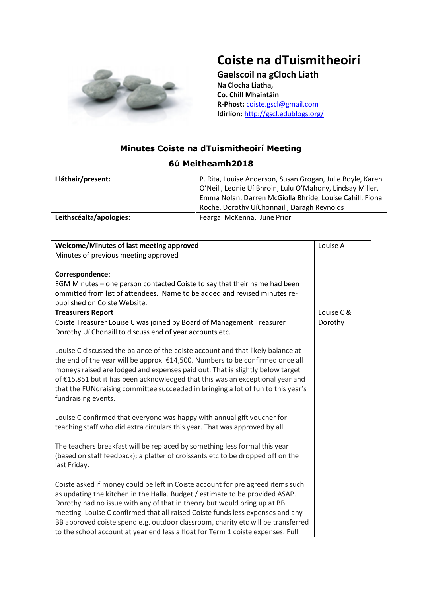

## **Coiste na dTuismitheoirí**

**Gaelscoil na gCloch Liath Na Clocha Liatha, Co. Chill Mhaintáin R-Phost:** [coiste.gscl@gmail.com](mailto:coiste.gscl@gmail.com) **Idirlíon:** <http://gscl.edublogs.org/>

## **Minutes Coiste na dTuismitheoirí Meeting**

## **6ú Meitheamh2018**

| I láthair/present:      | P. Rita, Louise Anderson, Susan Grogan, Julie Boyle, Karen<br>O'Neill, Leonie Uí Bhroin, Lulu O'Mahony, Lindsay Miller,<br>Emma Nolan, Darren McGiolla Bhríde, Louise Cahill, Fiona |
|-------------------------|-------------------------------------------------------------------------------------------------------------------------------------------------------------------------------------|
|                         | Roche, Dorothy UíChonnaill, Daragh Reynolds                                                                                                                                         |
| Leithscéalta/apologies: | Feargal McKenna, June Prior                                                                                                                                                         |

| Welcome/Minutes of last meeting approved<br>Minutes of previous meeting approved                                                                                                                                                                                                                                                                                                                                                                                                                     | Louise A   |
|------------------------------------------------------------------------------------------------------------------------------------------------------------------------------------------------------------------------------------------------------------------------------------------------------------------------------------------------------------------------------------------------------------------------------------------------------------------------------------------------------|------------|
| Correspondence:                                                                                                                                                                                                                                                                                                                                                                                                                                                                                      |            |
| EGM Minutes - one person contacted Coiste to say that their name had been<br>ommitted from list of attendees. Name to be added and revised minutes re-<br>published on Coiste Website.                                                                                                                                                                                                                                                                                                               |            |
| <b>Treasurers Report</b>                                                                                                                                                                                                                                                                                                                                                                                                                                                                             | Louise C & |
| Coiste Treasurer Louise C was joined by Board of Management Treasurer<br>Dorothy Uí Chonaill to discuss end of year accounts etc.                                                                                                                                                                                                                                                                                                                                                                    | Dorothy    |
| Louise C discussed the balance of the coiste account and that likely balance at<br>the end of the year will be approx. €14,500. Numbers to be confirmed once all<br>moneys raised are lodged and expenses paid out. That is slightly below target<br>of €15,851 but it has been acknowledged that this was an exceptional year and<br>that the FUNdraising committee succeeded in bringing a lot of fun to this year's<br>fundraising events.                                                        |            |
| Louise C confirmed that everyone was happy with annual gift voucher for<br>teaching staff who did extra circulars this year. That was approved by all.                                                                                                                                                                                                                                                                                                                                               |            |
| The teachers breakfast will be replaced by something less formal this year<br>(based on staff feedback); a platter of croissants etc to be dropped off on the<br>last Friday.                                                                                                                                                                                                                                                                                                                        |            |
| Coiste asked if money could be left in Coiste account for pre agreed items such<br>as updating the kitchen in the Halla. Budget / estimate to be provided ASAP.<br>Dorothy had no issue with any of that in theory but would bring up at BB<br>meeting. Louise C confirmed that all raised Coiste funds less expenses and any<br>BB approved coiste spend e.g. outdoor classroom, charity etc will be transferred<br>to the school account at year end less a float for Term 1 coiste expenses. Full |            |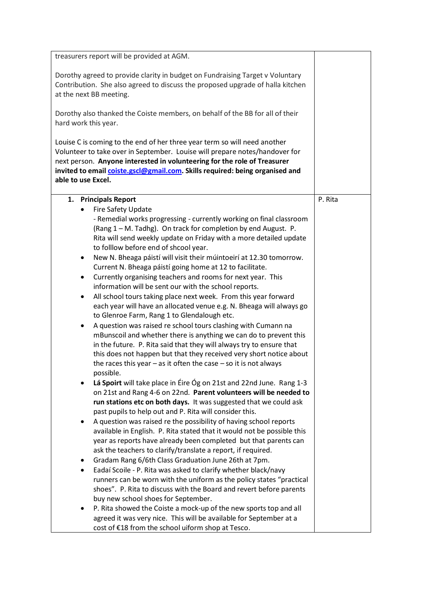| treasurers report will be provided at AGM.                                                                                                                                                                                                                                                                                                                                                                                                                                                                                                                                                                                                                                                                                                                                                                                                                                                                                                                                                                                                                                                                                       |         |
|----------------------------------------------------------------------------------------------------------------------------------------------------------------------------------------------------------------------------------------------------------------------------------------------------------------------------------------------------------------------------------------------------------------------------------------------------------------------------------------------------------------------------------------------------------------------------------------------------------------------------------------------------------------------------------------------------------------------------------------------------------------------------------------------------------------------------------------------------------------------------------------------------------------------------------------------------------------------------------------------------------------------------------------------------------------------------------------------------------------------------------|---------|
| Dorothy agreed to provide clarity in budget on Fundraising Target v Voluntary<br>Contribution. She also agreed to discuss the proposed upgrade of halla kitchen<br>at the next BB meeting.                                                                                                                                                                                                                                                                                                                                                                                                                                                                                                                                                                                                                                                                                                                                                                                                                                                                                                                                       |         |
| Dorothy also thanked the Coiste members, on behalf of the BB for all of their<br>hard work this year.                                                                                                                                                                                                                                                                                                                                                                                                                                                                                                                                                                                                                                                                                                                                                                                                                                                                                                                                                                                                                            |         |
| Louise C is coming to the end of her three year term so will need another<br>Volunteer to take over in September. Louise will prepare notes/handover for<br>next person. Anyone interested in volunteering for the role of Treasurer<br>invited to email coiste.gscl@gmail.com. Skills required: being organised and<br>able to use Excel.                                                                                                                                                                                                                                                                                                                                                                                                                                                                                                                                                                                                                                                                                                                                                                                       |         |
| 1. Principals Report                                                                                                                                                                                                                                                                                                                                                                                                                                                                                                                                                                                                                                                                                                                                                                                                                                                                                                                                                                                                                                                                                                             | P. Rita |
| Fire Safety Update<br>- Remedial works progressing - currently working on final classroom<br>(Rang 1 - M. Tadhg). On track for completion by end August. P.<br>Rita will send weekly update on Friday with a more detailed update<br>to folllow before end of shcool year.<br>New N. Bheaga páistí will visit their múintoeirí at 12.30 tomorrow.<br>٠<br>Current N. Bheaga páistí going home at 12 to facilitate.<br>Currently organising teachers and rooms for next year. This<br>$\bullet$<br>information will be sent our with the school reports.<br>All school tours taking place next week. From this year forward<br>$\bullet$<br>each year will have an allocated venue e.g. N. Bheaga will always go<br>to Glenroe Farm, Rang 1 to Glendalough etc.<br>A question was raised re school tours clashing with Cumann na<br>٠<br>mBunscoil and whether there is anything we can do to prevent this<br>in the future. P. Rita said that they will always try to ensure that<br>this does not happen but that they received very short notice about<br>the races this year $-$ as it often the case $-$ so it is not always |         |
| possible.<br>Lá Spoirt will take place in Éire Óg on 21st and 22nd June. Rang 1-3<br>on 21st and Rang 4-6 on 22nd. Parent volunteers will be needed to<br>run stations etc on both days. It was suggested that we could ask<br>past pupils to help out and P. Rita will consider this.                                                                                                                                                                                                                                                                                                                                                                                                                                                                                                                                                                                                                                                                                                                                                                                                                                           |         |
| A question was raised re the possibility of having school reports<br>available in English. P. Rita stated that it would not be possible this<br>year as reports have already been completed but that parents can<br>ask the teachers to clarify/translate a report, if required.                                                                                                                                                                                                                                                                                                                                                                                                                                                                                                                                                                                                                                                                                                                                                                                                                                                 |         |
| Gradam Rang 6/6th Class Graduation June 26th at 7pm.<br>٠                                                                                                                                                                                                                                                                                                                                                                                                                                                                                                                                                                                                                                                                                                                                                                                                                                                                                                                                                                                                                                                                        |         |
| Eadaí Scoile - P. Rita was asked to clarify whether black/navy<br>٠<br>runners can be worn with the uniform as the policy states "practical<br>shoes". P. Rita to discuss with the Board and revert before parents                                                                                                                                                                                                                                                                                                                                                                                                                                                                                                                                                                                                                                                                                                                                                                                                                                                                                                               |         |
| buy new school shoes for September.                                                                                                                                                                                                                                                                                                                                                                                                                                                                                                                                                                                                                                                                                                                                                                                                                                                                                                                                                                                                                                                                                              |         |
| P. Rita showed the Coiste a mock-up of the new sports top and all<br>agreed it was very nice. This will be available for September at a<br>cost of €18 from the school uiform shop at Tesco.                                                                                                                                                                                                                                                                                                                                                                                                                                                                                                                                                                                                                                                                                                                                                                                                                                                                                                                                     |         |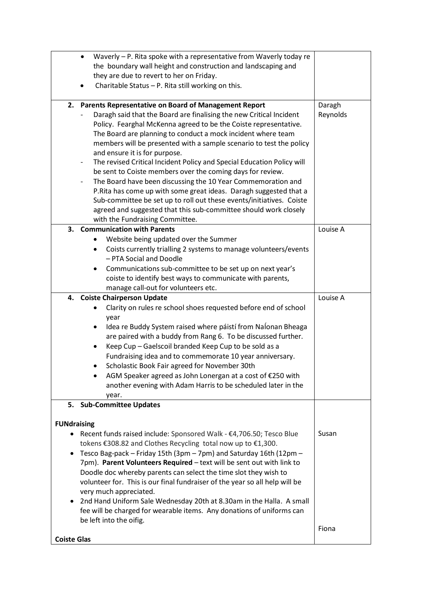|                                                                           | Waverly - P. Rita spoke with a representative from Waverly today re<br>the boundary wall height and construction and landscaping and<br>they are due to revert to her on Friday.<br>Charitable Status - P. Rita still working on this.                                                                                                       |                    |
|---------------------------------------------------------------------------|----------------------------------------------------------------------------------------------------------------------------------------------------------------------------------------------------------------------------------------------------------------------------------------------------------------------------------------------|--------------------|
|                                                                           | 2. Parents Representative on Board of Management Report<br>Daragh said that the Board are finalising the new Critical Incident                                                                                                                                                                                                               | Daragh<br>Reynolds |
|                                                                           | Policy. Fearghal McKenna agreed to be the Coiste representative.<br>The Board are planning to conduct a mock incident where team<br>members will be presented with a sample scenario to test the policy<br>and ensure it is for purpose.                                                                                                     |                    |
|                                                                           | The revised Critical Incident Policy and Special Education Policy will<br>$\overline{\phantom{a}}$<br>be sent to Coiste members over the coming days for review.                                                                                                                                                                             |                    |
|                                                                           | The Board have been discussing the 10 Year Commemoration and<br>$\overline{\phantom{a}}$<br>P.Rita has come up with some great ideas. Daragh suggested that a<br>Sub-committee be set up to roll out these events/initiatives. Coiste<br>agreed and suggested that this sub-committee should work closely<br>with the Fundraising Committee. |                    |
|                                                                           | 3. Communication with Parents                                                                                                                                                                                                                                                                                                                | Louise A           |
|                                                                           | Website being updated over the Summer                                                                                                                                                                                                                                                                                                        |                    |
|                                                                           | Coists currently trialling 2 systems to manage volunteers/events<br>٠<br>- PTA Social and Doodle                                                                                                                                                                                                                                             |                    |
|                                                                           | Communications sub-committee to be set up on next year's                                                                                                                                                                                                                                                                                     |                    |
|                                                                           | coiste to identify best ways to communicate with parents,                                                                                                                                                                                                                                                                                    |                    |
|                                                                           | manage call-out for volunteers etc.<br>4. Coiste Chairperson Update                                                                                                                                                                                                                                                                          | Louise A           |
|                                                                           | Clarity on rules re school shoes requested before end of school                                                                                                                                                                                                                                                                              |                    |
|                                                                           | year                                                                                                                                                                                                                                                                                                                                         |                    |
|                                                                           | Idea re Buddy System raised where páistí from Nalonan Bheaga<br>٠                                                                                                                                                                                                                                                                            |                    |
|                                                                           | are paired with a buddy from Rang 6. To be discussed further.                                                                                                                                                                                                                                                                                |                    |
|                                                                           | Keep Cup - Gaelscoil branded Keep Cup to be sold as a                                                                                                                                                                                                                                                                                        |                    |
|                                                                           | Fundraising idea and to commemorate 10 year anniversary.                                                                                                                                                                                                                                                                                     |                    |
|                                                                           | Scholastic Book Fair agreed for November 30th                                                                                                                                                                                                                                                                                                |                    |
|                                                                           | AGM Speaker agreed as John Lonergan at a cost of €250 with                                                                                                                                                                                                                                                                                   |                    |
|                                                                           | another evening with Adam Harris to be scheduled later in the                                                                                                                                                                                                                                                                                |                    |
|                                                                           | year.<br>5. Sub-Committee Updates                                                                                                                                                                                                                                                                                                            |                    |
|                                                                           |                                                                                                                                                                                                                                                                                                                                              |                    |
| <b>FUNdraising</b>                                                        |                                                                                                                                                                                                                                                                                                                                              |                    |
|                                                                           | Recent funds raised include: Sponsored Walk - €4,706.50; Tesco Blue<br>tokens €308.82 and Clothes Recycling total now up to €1,300.                                                                                                                                                                                                          | Susan              |
|                                                                           | Tesco Bag-pack - Friday 15th (3pm - 7pm) and Saturday 16th (12pm -                                                                                                                                                                                                                                                                           |                    |
|                                                                           | 7pm). Parent Volunteers Required - text will be sent out with link to                                                                                                                                                                                                                                                                        |                    |
|                                                                           | Doodle doc whereby parents can select the time slot they wish to<br>volunteer for. This is our final fundraiser of the year so all help will be                                                                                                                                                                                              |                    |
| very much appreciated.                                                    |                                                                                                                                                                                                                                                                                                                                              |                    |
| 2nd Hand Uniform Sale Wednesday 20th at 8.30am in the Halla. A small<br>٠ |                                                                                                                                                                                                                                                                                                                                              |                    |
|                                                                           | fee will be charged for wearable items. Any donations of uniforms can<br>be left into the oifig.                                                                                                                                                                                                                                             |                    |
| <b>Coiste Glas</b>                                                        |                                                                                                                                                                                                                                                                                                                                              | Fiona              |